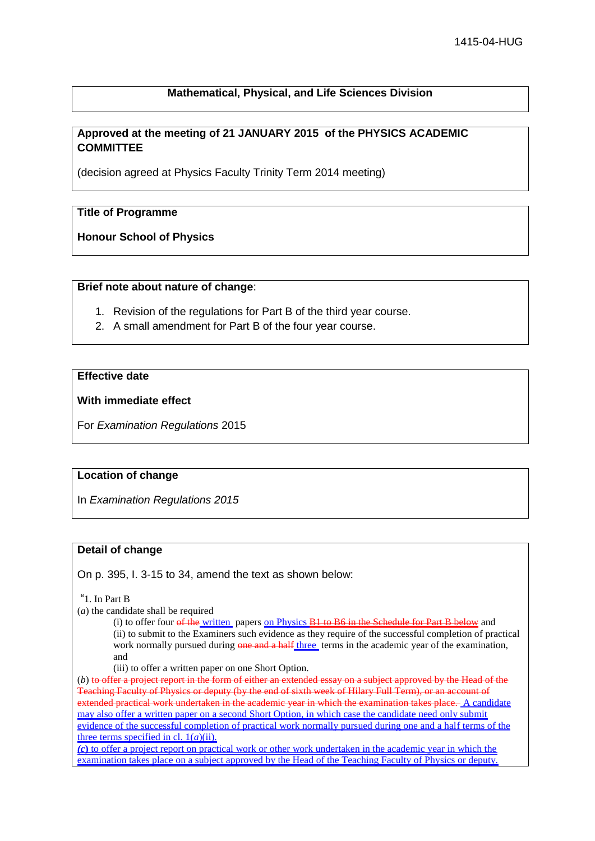### **Mathematical, Physical, and Life Sciences Division**

## **Approved at the meeting of 21 JANUARY 2015 of the PHYSICS ACADEMIC COMMITTEE**

(decision agreed at Physics Faculty Trinity Term 2014 meeting)

### **Title of Programme**

**Honour School of Physics**

#### **Brief note about nature of change**:

- 1. Revision of the regulations for Part B of the third year course.
- 2. A small amendment for Part B of the four year course.

# **Effective date**

### **With immediate effect**

For *Examination Regulations* 2015

### **Location of change**

In *Examination Regulations 2015*

### **Detail of change**

On p. 395, I. 3-15 to 34, amend the text as shown below:

"1. In Part B

(*a*) the candidate shall be required

(i) to offer four of the written papers on Physics  $B1$  to  $B6$  in the Schedule for Part B below and (ii) to submit to the Examiners such evidence as they require of the successful completion of practical work normally pursued during one and a half three terms in the academic year of the examination, and

(iii) to offer a written paper on one Short Option.

(*b*) to offer a project report in the form of either an extended essay on a subject approved by the Head of the Teaching Faculty of Physics or deputy (by the end of sixth week of Hilary Full Term), or an account of extended practical work undertaken in the academic year in which the examination takes place. A candidate may also offer a written paper on a second Short Option, in which case the candidate need only submit evidence of the successful completion of practical work normally pursued during one and a half terms of the three terms specified in cl. 1(*a*)(ii).

*(c***)** to offer a project report on practical work or other work undertaken in the academic year in which the examination takes place on a subject approved by the Head of the Teaching Faculty of Physics or deputy.